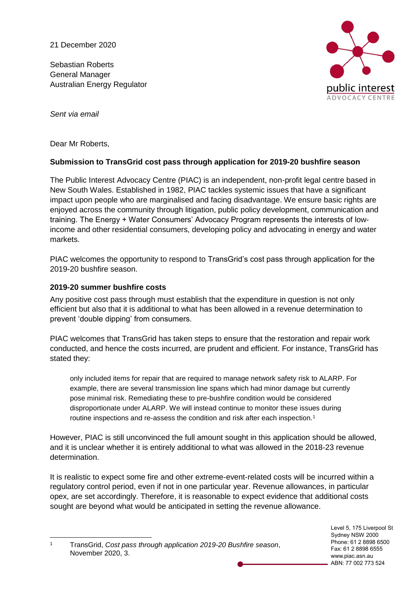21 December 2020

Sebastian Roberts General Manager Australian Energy Regulator



*Sent via email* 

Dear Mr Roberts,

# **Submission to TransGrid cost pass through application for 2019-20 bushfire season**

The Public Interest Advocacy Centre (PIAC) is an independent, non-profit legal centre based in New South Wales. Established in 1982, PIAC tackles systemic issues that have a significant impact upon people who are marginalised and facing disadvantage. We ensure basic rights are enjoyed across the community through litigation, public policy development, communication and training. The Energy + Water Consumers' Advocacy Program represents the interests of lowincome and other residential consumers, developing policy and advocating in energy and water markets.

PIAC welcomes the opportunity to respond to TransGrid's cost pass through application for the 2019-20 bushfire season.

# **2019-20 summer bushfire costs**

-

Any positive cost pass through must establish that the expenditure in question is not only efficient but also that it is additional to what has been allowed in a revenue determination to prevent 'double dipping' from consumers.

PIAC welcomes that TransGrid has taken steps to ensure that the restoration and repair work conducted, and hence the costs incurred, are prudent and efficient. For instance, TransGrid has stated they:

only included items for repair that are required to manage network safety risk to ALARP. For example, there are several transmission line spans which had minor damage but currently pose minimal risk. Remediating these to pre-bushfire condition would be considered disproportionate under ALARP. We will instead continue to monitor these issues during routine inspections and re-assess the condition and risk after each inspection.<sup>1</sup>

However, PIAC is still unconvinced the full amount sought in this application should be allowed, and it is unclear whether it is entirely additional to what was allowed in the 2018-23 revenue determination.

It is realistic to expect some fire and other extreme-event-related costs will be incurred within a regulatory control period, even if not in one particular year. Revenue allowances, in particular opex, are set accordingly. Therefore, it is reasonable to expect evidence that additional costs sought are beyond what would be anticipated in setting the revenue allowance.

<sup>1</sup> TransGrid, *Cost pass through application 2019-20 Bushfire season*, November 2020, 3.

Level 5, 175 Liverpool St Sydney NSW 2000 Phone: 61 2 8898 6500 Fax: 61 2 8898 6555 www.piac.asn.au ABN: 77 002 773 524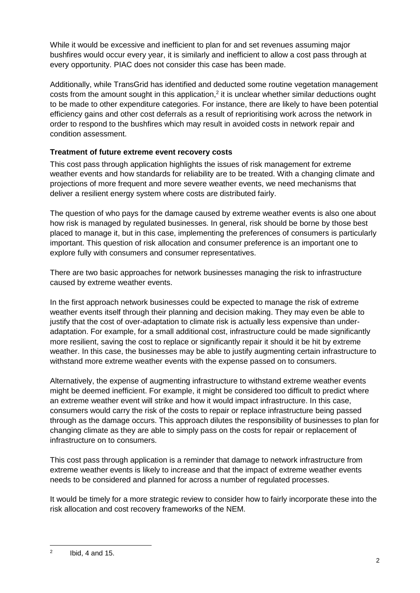While it would be excessive and inefficient to plan for and set revenues assuming major bushfires would occur every year, it is similarly and inefficient to allow a cost pass through at every opportunity. PIAC does not consider this case has been made.

Additionally, while TransGrid has identified and deducted some routine vegetation management costs from the amount sought in this application,<sup>2</sup> it is unclear whether similar deductions ought to be made to other expenditure categories. For instance, there are likely to have been potential efficiency gains and other cost deferrals as a result of reprioritising work across the network in order to respond to the bushfires which may result in avoided costs in network repair and condition assessment.

# **Treatment of future extreme event recovery costs**

This cost pass through application highlights the issues of risk management for extreme weather events and how standards for reliability are to be treated. With a changing climate and projections of more frequent and more severe weather events, we need mechanisms that deliver a resilient energy system where costs are distributed fairly.

The question of who pays for the damage caused by extreme weather events is also one about how risk is managed by regulated businesses. In general, risk should be borne by those best placed to manage it, but in this case, implementing the preferences of consumers is particularly important. This question of risk allocation and consumer preference is an important one to explore fully with consumers and consumer representatives.

There are two basic approaches for network businesses managing the risk to infrastructure caused by extreme weather events.

In the first approach network businesses could be expected to manage the risk of extreme weather events itself through their planning and decision making. They may even be able to justify that the cost of over-adaptation to climate risk is actually less expensive than underadaptation. For example, for a small additional cost, infrastructure could be made significantly more resilient, saving the cost to replace or significantly repair it should it be hit by extreme weather. In this case, the businesses may be able to justify augmenting certain infrastructure to withstand more extreme weather events with the expense passed on to consumers.

Alternatively, the expense of augmenting infrastructure to withstand extreme weather events might be deemed inefficient. For example, it might be considered too difficult to predict where an extreme weather event will strike and how it would impact infrastructure. In this case, consumers would carry the risk of the costs to repair or replace infrastructure being passed through as the damage occurs. This approach dilutes the responsibility of businesses to plan for changing climate as they are able to simply pass on the costs for repair or replacement of infrastructure on to consumers.

This cost pass through application is a reminder that damage to network infrastructure from extreme weather events is likely to increase and that the impact of extreme weather events needs to be considered and planned for across a number of regulated processes.

It would be timely for a more strategic review to consider how to fairly incorporate these into the risk allocation and cost recovery frameworks of the NEM.

<sup>-</sup>2 Ibid, 4 and 15.